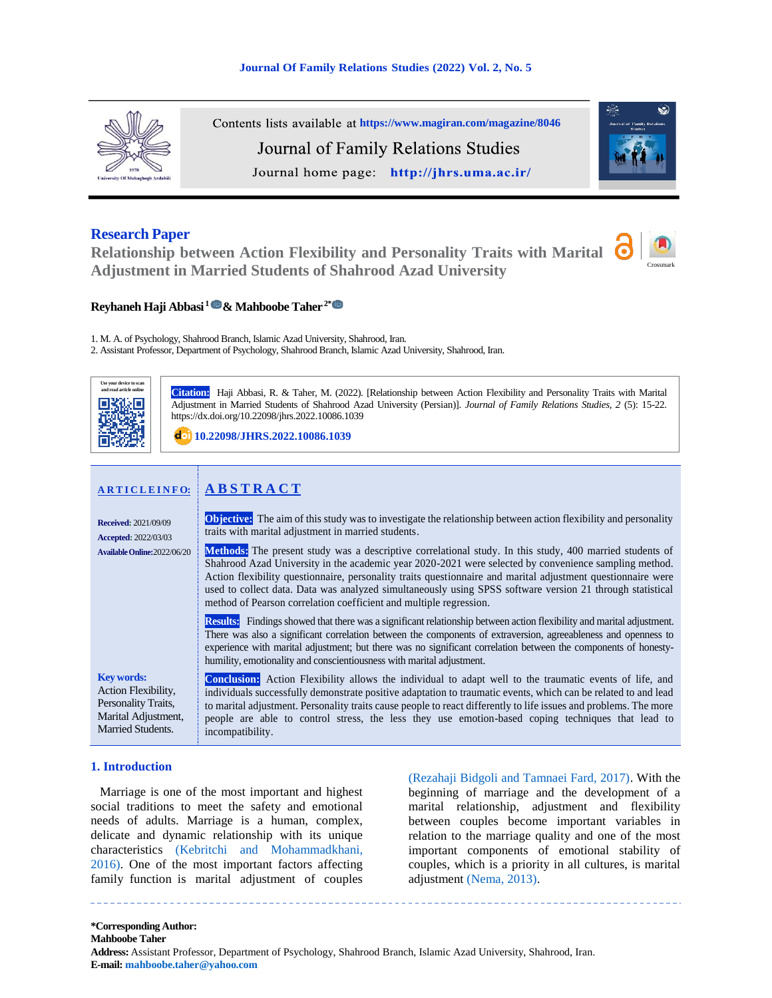

Contents lists available at <https://www.magiran.com/magazine/8046> Journal of Family Relations Studies Journal home page: http://jhrs.uma.ac.ir/

### **Research Paper**

**Relationship between Action Flexibility and Personality Traits with Marital Adjustment in Married Students of Shahrood Azad University**





**Reyhaneh Haji Abbasi <sup>1</sup>& Mahboobe Taher 2[\\*](https://www.orcid.org/0000000313203643)**

1. M. A. of Psychology, Shahrood Branch, Islamic Azad University, Shahrood, Iran.

2. Assistant Professor, Department of Psychology, Shahrood Branch, Islamic Azad University, Shahrood, Iran.



**Citation::** Haji Abbasi, R. & Taher, M. (2022). [Relationship between Action Flexibility and Personality Traits with Marital Adjustment in Married Students of Shahrood Azad University (Persian)]. *Journal of Family Relations Studies, 2* (5): 15-22. https://dx.doi.org/10.22098/jhrs.2022.10086.1039

**[10.22098/JHRS.2022.10086.1039](https://dx.doi.org/10.22098/jhrs.2022.10086.1039)**

# **A R T I C L E I N F O: A B S T R A C T**

| <b>Received: 2021/09/09</b><br><b>Accepted: 2022/03/03</b><br>Available Online: 2022/06/20                  | <b>Objective:</b> The aim of this study was to investigate the relationship between action flexibility and personality<br>traits with marital adjustment in married students.<br><b>Methods:</b> The present study was a descriptive correlational study. In this study, 400 married students of<br>Shahrood Azad University in the academic year 2020-2021 were selected by convenience sampling method.<br>Action flexibility questionnaire, personality traits questionnaire and marital adjustment questionnaire were<br>used to collect data. Data was analyzed simultaneously using SPSS software version 21 through statistical<br>method of Pearson correlation coefficient and multiple regression. |  |  |  |  |  |
|-------------------------------------------------------------------------------------------------------------|--------------------------------------------------------------------------------------------------------------------------------------------------------------------------------------------------------------------------------------------------------------------------------------------------------------------------------------------------------------------------------------------------------------------------------------------------------------------------------------------------------------------------------------------------------------------------------------------------------------------------------------------------------------------------------------------------------------|--|--|--|--|--|
|                                                                                                             | <b>Results:</b> Findings showed that there was a significant relationship between action flexibility and marital adjustment.<br>There was also a significant correlation between the components of extraversion, agreeableness and openness to<br>experience with marital adjustment; but there was no significant correlation between the components of honesty-<br>humility, emotionality and conscientiousness with marital adjustment.                                                                                                                                                                                                                                                                   |  |  |  |  |  |
| <b>Key words:</b><br>Action Flexibility,<br>Personality Traits,<br>Marital Adjustment,<br>Married Students. | <b>Conclusion:</b> Action Flexibility allows the individual to adapt well to the traumatic events of life, and<br>individuals successfully demonstrate positive adaptation to traumatic events, which can be related to and lead<br>to marital adjustment. Personality traits cause people to react differently to life issues and problems. The more<br>people are able to control stress, the less they use emotion-based coping techniques that lead to<br>incompatibility.                                                                                                                                                                                                                               |  |  |  |  |  |

### **1. Introduction**

<span id="page-0-0"></span>Marriage is one of the most important and highest social traditions to meet the safety and emotional needs of adults. Marriage is a human, complex, delicate and dynamic relationship with its unique characteristics (Kebritchi and [Mohammadkhani,](#page-6-0)  [2016\).](#page-6-0) One of the most important factors affecting family function is marital adjustment of couples <span id="page-0-2"></span><span id="page-0-1"></span>[\(Rezahaji Bidgoli and Tamnaei Fard, 2017\).](#page-7-0) With the beginning of marriage and the development of a marital relationship, adjustment and flexibility between couples become important variables in relation to the marriage quality and one of the most important components of emotional stability of couples, which is a priority in all cultures, is marital adjustment [\(Nema, 2013\).](#page-7-1)

**\*Corresponding Author: Mahboobe Taher Address:** Assistant Professor, Department of Psychology, Shahrood Branch, Islamic Azad University, Shahrood, Iran. **E-mail: [mahboobe.taher@yahoo.com](mailto:mahboobe.taher@yahoo.com)**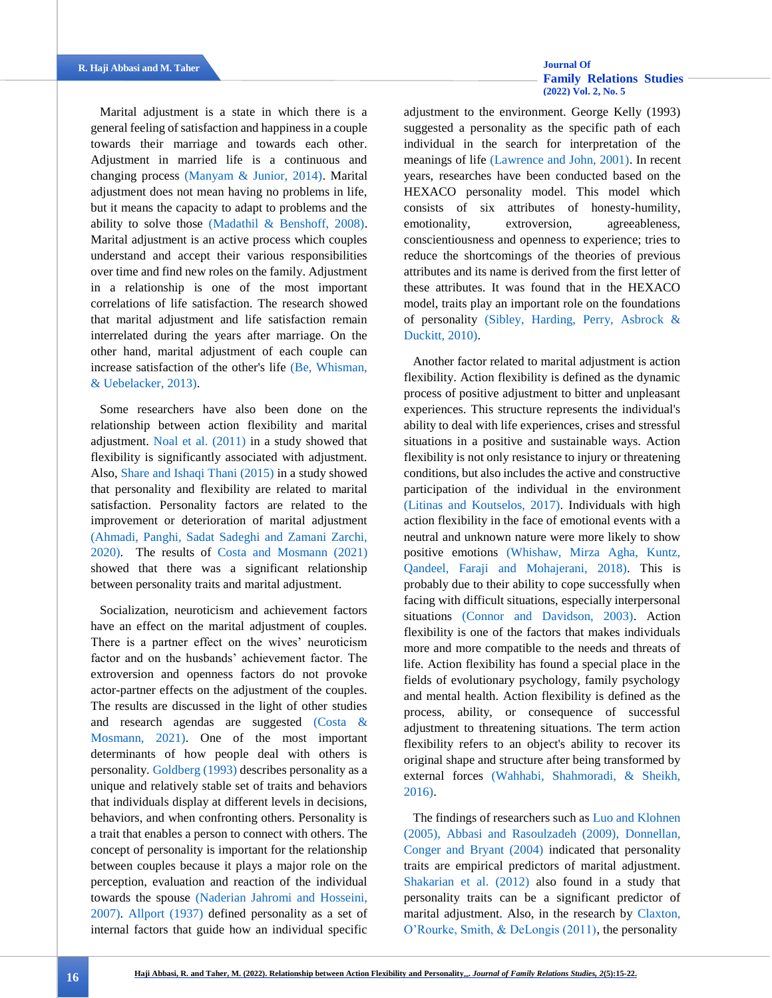<span id="page-1-12"></span><span id="page-1-11"></span>Marital adjustment is a state in which there is a general feeling of satisfaction and happiness in a couple towards their marriage and towards each other. Adjustment in married life is a continuous and changing process [\(Manyam & Junior, 2014\).](#page-7-2) Marital adjustment does not mean having no problems in life, but it means the capacity to adapt to problems and the ability to solve those [\(Madathil & Benshoff, 2008\).](#page-7-3) Marital adjustment is an active process which couples understand and accept their various responsibilities over time and find new roles on the family. Adjustment in a relationship is one of the most important correlations of life satisfaction. The research showed that marital adjustment and life satisfaction remain interrelated during the years after marriage. On the other hand, marital adjustment of each couple can increase satisfaction of the other's life [\(Be, Whisman,](#page-6-1)  [& Uebelacker, 2013\).](#page-6-1)

<span id="page-1-15"></span><span id="page-1-14"></span>Some researchers have also been done on the relationship between action flexibility and marital adjustment. [Noal et al. \(2011\)](#page-7-4) in a study showed that flexibility is significantly associated with adjustment. Also, [Share and Ishaqi Thani \(2015\)](#page-7-5) in a study showed that personality and flexibility are related to marital satisfaction. Personality factors are related to the improvement or deterioration of marital adjustment [\(Ahmadi, Panghi, Sadat Sadeghi and Zamani Zarchi,](#page-6-2)  [2020\).](#page-6-2) The results of [Costa and Mosmann \(2021\)](#page-6-3) showed that there was a significant relationship between personality traits and marital adjustment.

<span id="page-1-8"></span><span id="page-1-5"></span><span id="page-1-0"></span>Socialization, neuroticism and achievement factors have an effect on the marital adjustment of couples. There is a partner effect on the wives' neuroticism factor and on the husbands' achievement factor. The extroversion and openness factors do not provoke actor-partner effects on the adjustment of the couples. The results are discussed in the light of other studies and research agendas are suggested [\(Costa &](#page-6-3)  [Mosmann, 2021\).](#page-6-3) One of the most important determinants of how people deal with others is personality. [Goldberg \(1993\)](#page-6-4) describes personality as a unique and relatively stable set of traits and behaviors that individuals display at different levels in decisions, behaviors, and when confronting others. Personality is a trait that enables a person to connect with others. The concept of personality is important for the relationship between couples because it plays a major role on the perception, evaluation and reaction of the individual towards the spouse [\(Naderian Jahromi and Hosseini,](#page-7-6)  [2007\).](#page-7-6) [Allport \(1937\)](#page-6-5) defined personality as a set of internal factors that guide how an individual specific

## **[Family Relations Studies](http://jhrs.uma.ac.ir/)  [\(2022\) Vol. 2, No. 5](http://jhrs.uma.ac.ir/)**

<span id="page-1-7"></span>adjustment to the environment. George Kelly (1993) suggested a personality as the specific path of each individual in the search for interpretation of the meanings of life [\(Lawrence and John, 2001\).](#page-6-6) In recent years, researches have been conducted based on the HEXACO personality model. This model which consists of six attributes of honesty-humility, emotionality, extroversion, agreeableness, conscientiousness and openness to experience; tries to reduce the shortcomings of the theories of previous attributes and its name is derived from the first letter of these attributes. It was found that in the HEXACO model, traits play an important role on the foundations of personality [\(Sibley, Harding, Perry, Asbrock &](#page-7-7)  [Duckitt, 2010\).](#page-7-7)

<span id="page-1-19"></span><span id="page-1-17"></span><span id="page-1-9"></span><span id="page-1-2"></span>Another factor related to marital adjustment is action flexibility. Action flexibility is defined as the dynamic process of positive adjustment to bitter and unpleasant experiences. This structure represents the individual's ability to deal with life experiences, crises and stressful situations in a positive and sustainable ways. Action flexibility is not only resistance to injury or threatening conditions, but also includes the active and constructive participation of the individual in the environment [\(Litinas and Koutselos, 2017\).](#page-7-8) Individuals with high action flexibility in the face of emotional events with a neutral and unknown nature were more likely to show positive emotions [\(Whishaw, Mirza Agha, Kuntz,](#page-7-9)  [Qandeel, Faraji and Mohajerani, 2018\).](#page-7-9) This is probably due to their ability to cope successfully when facing with difficult situations, especially interpersonal situations [\(Connor and Davidson, 2003\).](#page-6-7) Action flexibility is one of the factors that makes individuals more and more compatible to the needs and threats of life. Action flexibility has found a special place in the fields of evolutionary psychology, family psychology and mental health. Action flexibility is defined as the process, ability, or consequence of successful adjustment to threatening situations. The term action flexibility refers to an object's ability to recover its original shape and structure after being transformed by external forces [\(Wahhabi, Shahmoradi, & Sheikh,](#page-7-10)  [2016\).](#page-7-10)

<span id="page-1-18"></span><span id="page-1-16"></span><span id="page-1-13"></span><span id="page-1-10"></span><span id="page-1-6"></span><span id="page-1-4"></span><span id="page-1-3"></span><span id="page-1-1"></span>The findings of researchers such as [Luo and Klohnen](#page-7-11)  [\(2005\),](#page-7-11) [Abbasi and Rasoulzadeh \(2009\),](#page-6-8) [Donnellan,](#page-6-9)  [Conger and Bryant \(2004\)](#page-6-9) indicated that personality traits are empirical predictors of marital adjustment. [Shakarian et al. \(2012\)](#page-7-12) also found in a study that personality traits can be a significant predictor of marital adjustment. Also, in the research by [Claxton,](#page-6-10)  [O'Rourke, Smith, & DeLongis \(2011\),](#page-6-10) the personality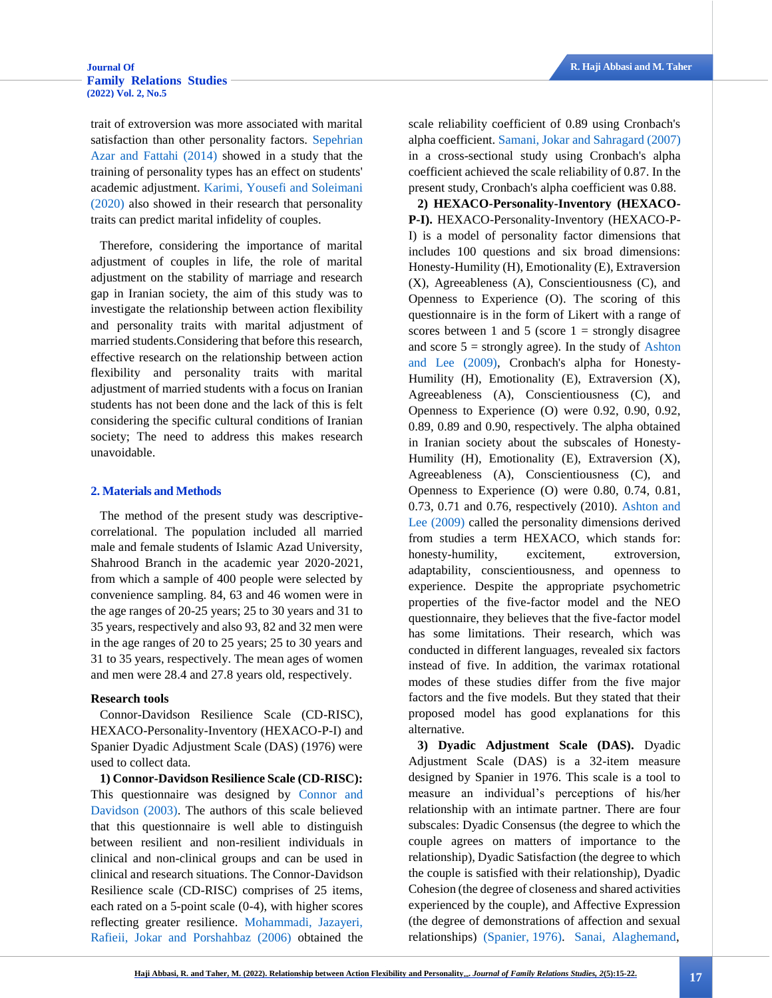## **[Family Relations Studies](http://jhrs.uma.ac.ir/)  [\(2022\) Vol. 2, No.5](http://jhrs.uma.ac.ir/)**

trait of extroversion was more associated with marital satisfaction than other personality factors. [Sepehrian](#page-7-13)  [Azar and Fattahi \(2014\)](#page-7-13) showed in a study that the training of personality types has an effect on students' academic adjustment. [Karimi, Yousefi and Soleimani](#page-6-11)  [\(2020\)](#page-6-11) also showed in their research that personality traits can predict marital infidelity of couples.

<span id="page-2-1"></span>Therefore, considering the importance of marital adjustment of couples in life, the role of marital adjustment on the stability of marriage and research gap in Iranian society, the aim of this study was to investigate the relationship between action flexibility and personality traits with marital adjustment of married students.Considering that before this research, effective research on the relationship between action flexibility and personality traits with marital adjustment of married students with a focus on Iranian students has not been done and the lack of this is felt considering the specific cultural conditions of Iranian society; The need to address this makes research unavoidable.

#### **2. Materials and Methods**

The method of the present study was descriptivecorrelational. The population included all married male and female students of Islamic Azad University, Shahrood Branch in the academic year 2020-2021, from which a sample of 400 people were selected by convenience sampling. 84, 63 and 46 women were in the age ranges of 20-25 years; 25 to 30 years and 31 to 35 years, respectively and also 93, 82 and 32 men were in the age ranges of 20 to 25 years; 25 to 30 years and 31 to 35 years, respectively. The mean ages of women and men were 28.4 and 27.8 years old, respectively.

#### **Research tools**

Connor-Davidson Resilience Scale (CD-RISC), HEXACO-Personality-Inventory (HEXACO-P-I) and Spanier Dyadic Adjustment Scale (DAS) (1976) were used to collect data.

<span id="page-2-2"></span>**1) Connor-Davidson Resilience Scale (CD-RISC):** This questionnaire was designed by [Connor and](#page-6-7)  [Davidson \(2003\).](#page-6-7) The authors of this scale believed that this questionnaire is well able to distinguish between resilient and non-resilient individuals in clinical and non-clinical groups and can be used in clinical and research situations. The Connor-Davidson Resilience scale (CD-RISC) comprises of 25 items, each rated on a 5-point scale (0-4), with higher scores reflecting greater resilience. [Mohammadi, Jazayeri,](#page-7-14)  [Rafieii, Jokar and Porshahbaz \(2006\)](#page-7-14) obtained the <span id="page-2-4"></span>scale reliability coefficient of 0.89 using Cronbach's alpha coefficient[. Samani, Jokar and Sahragard \(2007\)](#page-7-15) in a cross-sectional study using Cronbach's alpha coefficient achieved the scale reliability of 0.87. In the present study, Cronbach's alpha coefficient was 0.88.

<span id="page-2-0"></span>**2) HEXACO-Personality-Inventory (HEXACO-P-I).** HEXACO-Personality-Inventory (HEXACO-P-I) is a model of personality factor dimensions that includes 100 questions and six broad dimensions: Honesty-Humility (H), Emotionality (E), Extraversion (X), Agreeableness (A), Conscientiousness (C), and Openness to Experience (O). The scoring of this questionnaire is in the form of Likert with a range of scores between 1 and 5 (score  $1 =$  strongly disagree and score  $5 =$  strongly agree). In the study of Ashton [and Lee \(2009\),](#page-6-12) Cronbach's alpha for Honesty-Humility (H), Emotionality (E), Extraversion (X), Agreeableness (A), Conscientiousness (C), and Openness to Experience (O) were 0.92, 0.90, 0.92, 0.89, 0.89 and 0.90, respectively. The alpha obtained in Iranian society about the subscales of Honesty-Humility (H), Emotionality (E), Extraversion (X), Agreeableness (A), Conscientiousness (C), and Openness to Experience (O) were 0.80, 0.74, 0.81, 0.73, 0.71 and 0.76, respectively (2010)[.](#page-6-12) [Ashton and](#page-6-12)  [Lee \(2009\)](#page-6-12) called the personality dimensions derived from studies a term HEXACO, which stands for: honesty-humility, excitement, extroversion, adaptability, conscientiousness, and openness to experience. Despite the appropriate psychometric properties of the five-factor model and the NEO questionnaire, they believes that the five-factor model has some limitations. Their research, which was conducted in different languages, revealed six factors instead of five. In addition, the varimax rotational modes of these studies differ from the five major factors and the five models. But they stated that their proposed model has good explanations for this alternative.

<span id="page-2-5"></span><span id="page-2-3"></span>**3) Dyadic Adjustment Scale (DAS).** Dyadic Adjustment Scale (DAS) is a 32-item measure designed by Spanier in 1976. This scale is a tool to measure an individual's perceptions of his/her relationship with an intimate partner. There are four subscales: Dyadic Consensus (the degree to which the couple agrees on matters of importance to the relationship), Dyadic Satisfaction (the degree to which the couple is satisfied with their relationship), Dyadic Cohesion (the degree of closeness and shared activities experienced by the couple), and Affective Expression (the degree of demonstrations of affection and sexual relationships) [\(Spanier, 1976\).](#page-7-16) [Sanai, Alaghemand,](#page-7-17)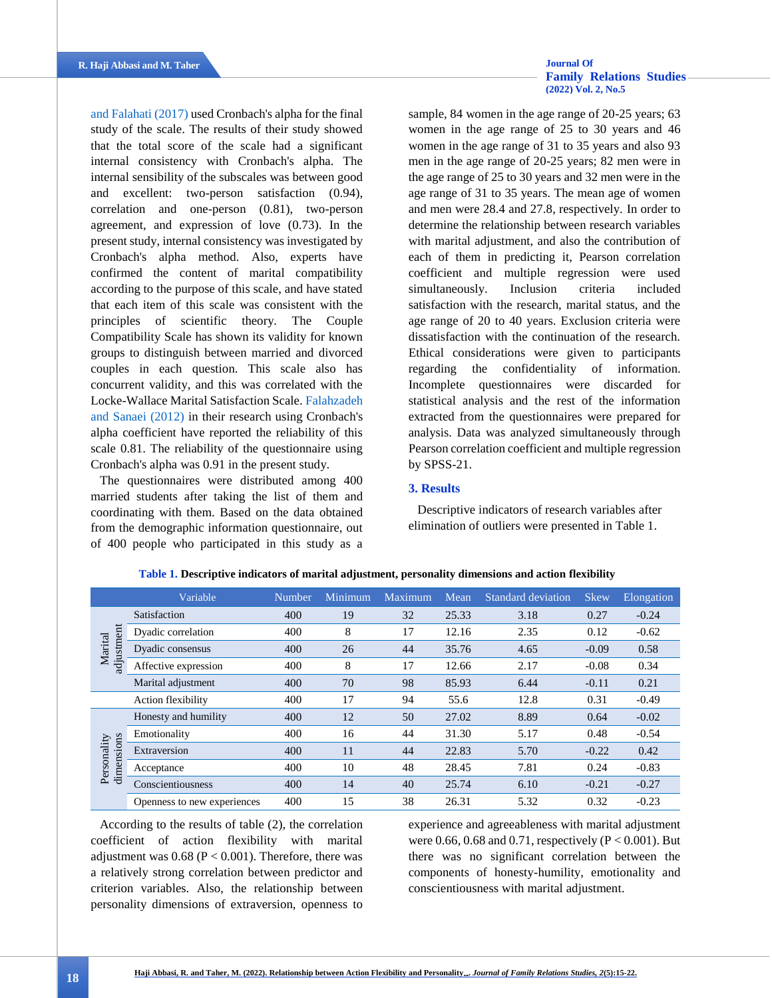[and Falahati \(2017\)](#page-7-17) used Cronbach's alpha for the final study of the scale. The results of their study showed that the total score of the scale had a significant internal consistency with Cronbach's alpha. The internal sensibility of the subscales was between good and excellent: two-person satisfaction (0.94), correlation and one-person (0.81), two-person agreement, and expression of love (0.73). In the present study, internal consistency was investigated by Cronbach's alpha method. Also, experts have confirmed the content of marital compatibility according to the purpose of this scale, and have stated that each item of this scale was consistent with the principles of scientific theory. The Couple Compatibility Scale has shown its validity for known groups to distinguish between married and divorced couples in each question. This scale also has concurrent validity, and this was correlated with the Locke-Wallace Marital Satisfaction Scale[. Falahzadeh](#page-6-13)  [and Sanaei \(2012\)](#page-6-13) in their research using Cronbach's alpha coefficient have reported the reliability of this scale 0.81. The reliability of the questionnaire using Cronbach's alpha was 0.91 in the present study.

The questionnaires were distributed among 400 married students after taking the list of them and coordinating with them. Based on the data obtained from the demographic information questionnaire, out of 400 people who participated in this study as a

## **[Family Relations Studies](http://jhrs.uma.ac.ir/)  [\(2022\) Vol. 2, No.5](http://jhrs.uma.ac.ir/)**

sample, 84 women in the age range of 20-25 years; 63 women in the age range of 25 to 30 years and 46 women in the age range of 31 to 35 years and also 93 men in the age range of 20-25 years; 82 men were in the age range of 25 to 30 years and 32 men were in the age range of 31 to 35 years. The mean age of women and men were 28.4 and 27.8, respectively. In order to determine the relationship between research variables with marital adjustment, and also the contribution of each of them in predicting it, Pearson correlation coefficient and multiple regression were used simultaneously. Inclusion criteria included satisfaction with the research, marital status, and the age range of 20 to 40 years. Exclusion criteria were dissatisfaction with the continuation of the research. Ethical considerations were given to participants regarding the confidentiality of information. Incomplete questionnaires were discarded for statistical analysis and the rest of the information extracted from the questionnaires were prepared for analysis. Data was analyzed simultaneously through Pearson correlation coefficient and multiple regression by SPSS-21.

### <span id="page-3-0"></span>**3. Results**

Descriptive indicators of research variables after elimination of outliers were presented in Table 1.

|                           | Variable                    | Number | Minimum | Maximum | Mean  | <b>Standard deviation</b> | <b>Skew</b> | Elongation |
|---------------------------|-----------------------------|--------|---------|---------|-------|---------------------------|-------------|------------|
|                           | Satisfaction                | 400    | 19      | 32      | 25.33 | 3.18                      | 0.27        | $-0.24$    |
|                           | Dyadic correlation          | 400    | 8       | 17      | 12.16 | 2.35                      | 0.12        | $-0.62$    |
| adjustment<br>Marital     | Dyadic consensus            | 400    | 26      | 44      | 35.76 | 4.65                      | $-0.09$     | 0.58       |
|                           | Affective expression        | 400    | 8       | 17      | 12.66 | 2.17                      | $-0.08$     | 0.34       |
|                           | Marital adjustment          | 400    | 70      | 98      | 85.93 | 6.44                      | $-0.11$     | 0.21       |
|                           | Action flexibility          | 400    | 17      | 94      | 55.6  | 12.8                      | 0.31        | $-0.49$    |
| dimensions<br>Personality | Honesty and humility        | 400    | 12      | 50      | 27.02 | 8.89                      | 0.64        | $-0.02$    |
|                           | Emotionality                | 400    | 16      | 44      | 31.30 | 5.17                      | 0.48        | $-0.54$    |
|                           | Extraversion                | 400    | 11      | 44      | 22.83 | 5.70                      | $-0.22$     | 0.42       |
|                           | Acceptance                  | 400    | 10      | 48      | 28.45 | 7.81                      | 0.24        | $-0.83$    |
|                           | Conscientiousness           | 400    | 14      | 40      | 25.74 | 6.10                      | $-0.21$     | $-0.27$    |
|                           | Openness to new experiences | 400    | 15      | 38      | 26.31 | 5.32                      | 0.32        | $-0.23$    |

**Table 1. Descriptive indicators of marital adjustment, personality dimensions and action flexibility**

According to the results of table (2), the correlation coefficient of action flexibility with marital adjustment was  $0.68$  ( $P < 0.001$ ). Therefore, there was a relatively strong correlation between predictor and criterion variables. Also, the relationship between personality dimensions of extraversion, openness to

experience and agreeableness with marital adjustment were 0.66, 0.68 and 0.71, respectively ( $P < 0.001$ ). But there was no significant correlation between the components of honesty-humility, emotionality and conscientiousness with marital adjustment.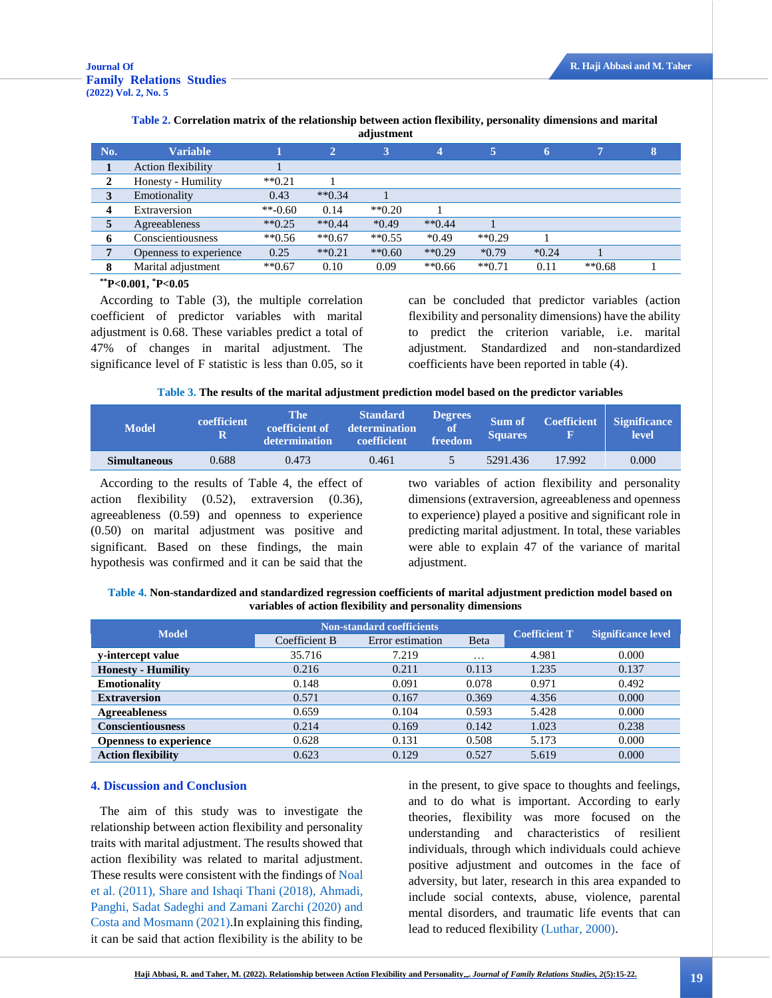|              | aujustment             |              |                 |                       |          |          |         |                |   |  |
|--------------|------------------------|--------------|-----------------|-----------------------|----------|----------|---------|----------------|---|--|
| No.          | <b>Variable</b>        |              | $\triangleleft$ | 3                     |          |          | 6       | $\overline{7}$ | 8 |  |
|              | Action flexibility     |              |                 |                       |          |          |         |                |   |  |
| 2            | Honesty - Humility     | $*$ $*$ 0.21 |                 |                       |          |          |         |                |   |  |
| 3            | Emotionality           | 0.43         | $*$ $*$ 0.34    |                       |          |          |         |                |   |  |
| 4            | Extraversion           | $**-0.60$    | 0.14            | $*$ <sup>0.20</sup>   |          |          |         |                |   |  |
| $\mathbf{c}$ | Agreeableness          | $**0.25$     | $*$ $*$ 0.44    | $*0.49$               | $**0.44$ |          |         |                |   |  |
| 6            | Conscientiousness      | $**0.56$     | $**0.67$        | $*$ <sup>6</sup> 0.55 | $*0.49$  | $**0.29$ |         |                |   |  |
|              | Openness to experience | 0.25         | $*$ $*$ 0.21    | $*$ $*$ 0.60          | $**0.29$ | $*0.79$  | $*0.24$ |                |   |  |
|              | Marital adjustment     | $**0.67$     | 0.10            | 0.09                  | $**0.66$ | $**0.71$ | 0.11    | $*$ *0.68      |   |  |

#### **Table 2. Correlation matrix of the relationship between action flexibility, personality dimensions and marital adjustment**

#### **\*\*P<0.001, \*P<0.05**

According to Table (3), the multiple correlation coefficient of predictor variables with marital adjustment is 0.68. These variables predict a total of 47% of changes in marital adjustment. The significance level of F statistic is less than 0.05, so it can be concluded that predictor variables (action flexibility and personality dimensions) have the ability to predict the criterion variable, i.e. marital adjustment. Standardized and non-standardized coefficients have been reported in table (4).

|  |  |  | Table 3. The results of the marital adjustment prediction model based on the predictor variables |
|--|--|--|--------------------------------------------------------------------------------------------------|
|  |  |  |                                                                                                  |

| <b>Model</b>        | coefficient<br>$\bf R$ | The <b>P</b><br>coefficient of<br>determination | <b>Standard</b><br>determination<br>coefficient | <b>Degrees</b><br><sup>of</sup><br>freedom | Sum of<br><b>Squares</b> |        | Coefficient Significance<br>level |
|---------------------|------------------------|-------------------------------------------------|-------------------------------------------------|--------------------------------------------|--------------------------|--------|-----------------------------------|
| <b>Simultaneous</b> | 0.688                  | 0.473                                           | 0.461                                           |                                            | 5291.436                 | 17.992 | 0.000                             |

According to the results of Table 4, the effect of action flexibility (0.52), extraversion (0.36), agreeableness (0.59) and openness to experience (0.50) on marital adjustment was positive and significant. Based on these findings, the main hypothesis was confirmed and it can be said that the two variables of action flexibility and personality dimensions (extraversion, agreeableness and openness to experience) played a positive and significant role in predicting marital adjustment. In total, these variables were able to explain 47 of the variance of marital adjustment.

**Table 4. Non-standardized and standardized regression coefficients of marital adjustment prediction model based on variables of action flexibility and personality dimensions**

| <b>Model</b>                  |               | <b>Non-standard coefficients</b> |          | <b>Significance level</b> |       |  |
|-------------------------------|---------------|----------------------------------|----------|---------------------------|-------|--|
|                               | Coefficient B | Error estimation                 | Beta     | <b>Coefficient T</b>      |       |  |
| y-intercept value             | 35.716        | 7.219                            | $\cdots$ | 4.981                     | 0.000 |  |
| <b>Honesty - Humility</b>     | 0.216         | 0.211                            | 0.113    | 1.235                     | 0.137 |  |
| <b>Emotionality</b>           | 0.148         | 0.091                            | 0.078    | 0.971                     | 0.492 |  |
| <b>Extraversion</b>           | 0.571         | 0.167                            | 0.369    | 4.356                     | 0.000 |  |
| <b>Agreeableness</b>          | 0.659         | 0.104                            | 0.593    | 5.428                     | 0.000 |  |
| <b>Conscientiousness</b>      | 0.214         | 0.169                            | 0.142    | 1.023                     | 0.238 |  |
| <b>Openness to experience</b> | 0.628         | 0.131                            | 0.508    | 5.173                     | 0.000 |  |
| <b>Action flexibility</b>     | 0.623         | 0.129                            | 0.527    | 5.619                     | 0.000 |  |

#### **4. Discussion and Conclusion**

The aim of this study was to investigate the relationship between action flexibility and personality traits with marital adjustment. The results showed that action flexibility was related to marital adjustment. These results were consistent with the findings o[f Noal](#page-7-4)  [et al. \(2011\),](#page-7-4) [Share and Ishaqi Thani \(2018\),](#page-7-5) [Ahmadi,](#page-6-2)  [Panghi, Sadat Sadeghi and Zamani Zarchi \(2020\) and](#page-6-2) [Costa and Mosmann \(2021\).](#page-6-3)In explaining this finding, it can be said that action flexibility is the ability to be

<span id="page-4-0"></span>in the present, to give space to thoughts and feelings, and to do what is important. According to early theories, flexibility was more focused on the understanding and characteristics of resilient individuals, through which individuals could achieve positive adjustment and outcomes in the face of adversity, but later, research in this area expanded to include social contexts, abuse, violence, parental mental disorders, and traumatic life events that can lead to reduced flexibility [\(Luthar, 2000\).](#page-7-18)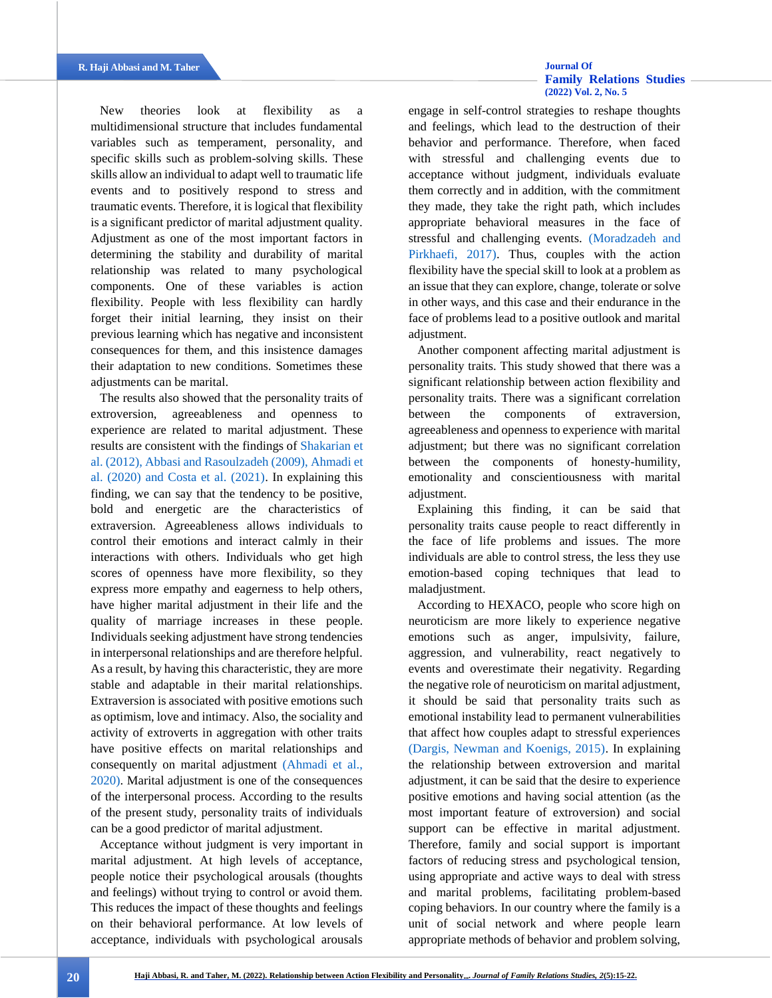## <span id="page-5-2"></span>**[Family Relations Studies](http://jhrs.uma.ac.ir/)  [\(2022\) Vol. 2, No. 5](http://jhrs.uma.ac.ir/)**

New theories look at flexibility as a multidimensional structure that includes fundamental variables such as temperament, personality, and specific skills such as problem-solving skills. These skills allow an individual to adapt well to traumatic life events and to positively respond to stress and traumatic events. Therefore, it is logical that flexibility is a significant predictor of marital adjustment quality. Adjustment as one of the most important factors in determining the stability and durability of marital relationship was related to many psychological components. One of these variables is action flexibility. People with less flexibility can hardly forget their initial learning, they insist on their previous learning which has negative and inconsistent consequences for them, and this insistence damages their adaptation to new conditions. Sometimes these adjustments can be marital.

<span id="page-5-0"></span>The results also showed that the personality traits of extroversion, agreeableness and openness to experience are related to marital adjustment. These results are consistent with the findings of [Shakarian et](#page-7-12)  [al. \(2012\),](#page-7-12) [Abbasi and Rasoulzadeh \(2009\),](#page-6-8) [Ahmadi et](#page-6-2)  [al. \(2020\)](#page-6-2) [and Costa et al. \(2021\).](#page-6-3) In explaining this finding, we can say that the tendency to be positive, bold and energetic are the characteristics of extraversion. Agreeableness allows individuals to control their emotions and interact calmly in their interactions with others. Individuals who get high scores of openness have more flexibility, so they express more empathy and eagerness to help others, have higher marital adjustment in their life and the quality of marriage increases in these people. Individuals seeking adjustment have strong tendencies in interpersonal relationships and are therefore helpful. As a result, by having this characteristic, they are more stable and adaptable in their marital relationships. Extraversion is associated with positive emotions such as optimism, love and intimacy. Also, the sociality and activity of extroverts in aggregation with other traits have positive effects on marital relationships and consequently on marital adjustment [\(Ahmadi et al.,](#page-6-2)  [2020\).](#page-6-2) Marital adjustment is one of the consequences of the interpersonal process. According to the results of the present study, personality traits of individuals can be a good predictor of marital adjustment.

Acceptance without judgment is very important in marital adjustment. At high levels of acceptance, people notice their psychological arousals (thoughts and feelings) without trying to control or avoid them. This reduces the impact of these thoughts and feelings on their behavioral performance. At low levels of acceptance, individuals with psychological arousals engage in self-control strategies to reshape thoughts and feelings, which lead to the destruction of their behavior and performance. Therefore, when faced with stressful and challenging events due to acceptance without judgment, individuals evaluate them correctly and in addition, with the commitment they made, they take the right path, which includes appropriate behavioral measures in the face of stressful and challenging events. [\(Moradzadeh and](#page-7-19)  [Pirkhaefi, 2017\).](#page-7-19) Thus, couples with the action flexibility have the special skill to look at a problem as an issue that they can explore, change, tolerate or solve in other ways, and this case and their endurance in the face of problems lead to a positive outlook and marital adjustment.

Another component affecting marital adjustment is personality traits. This study showed that there was a significant relationship between action flexibility and personality traits. There was a significant correlation between the components of extraversion, agreeableness and openness to experience with marital adjustment; but there was no significant correlation between the components of honesty-humility, emotionality and conscientiousness with marital adjustment.

Explaining this finding, it can be said that personality traits cause people to react differently in the face of life problems and issues. The more individuals are able to control stress, the less they use emotion-based coping techniques that lead to maladjustment.

<span id="page-5-1"></span>According to HEXACO, people who score high on neuroticism are more likely to experience negative emotions such as anger, impulsivity, failure, aggression, and vulnerability, react negatively to events and overestimate their negativity. Regarding the negative role of neuroticism on marital adjustment, it should be said that personality traits such as emotional instability lead to permanent vulnerabilities that affect how couples adapt to stressful experiences [\(Dargis, Newman and Koenigs, 2015\).](#page-6-14) In explaining the relationship between extroversion and marital adjustment, it can be said that the desire to experience positive emotions and having social attention (as the most important feature of extroversion) and social support can be effective in marital adjustment. Therefore, family and social support is important factors of reducing stress and psychological tension, using appropriate and active ways to deal with stress and marital problems, facilitating problem-based coping behaviors. In our country where the family is a unit of social network and where people learn appropriate methods of behavior and problem solving,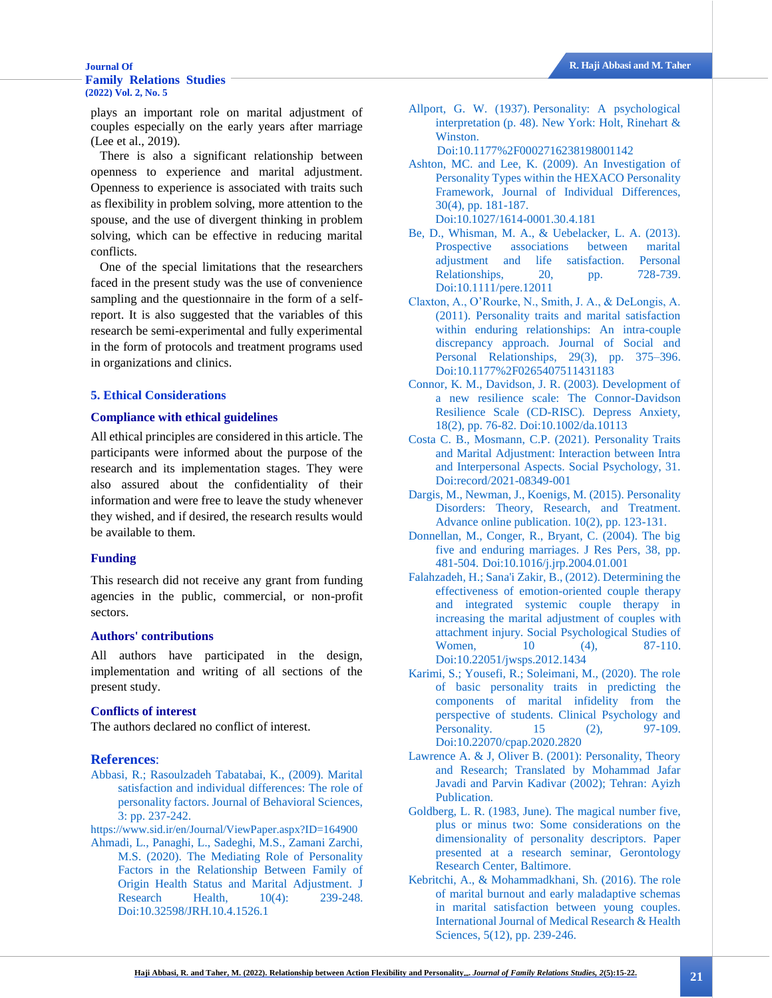## **[Family Relations Studies](http://jhrs.uma.ac.ir/)  [\(2022\) Vol. 2, No. 5](http://jhrs.uma.ac.ir/)**

plays an important role on marital adjustment of couples especially on the early years after marriage (Lee et al., 2019).

There is also a significant relationship between openness to experience and marital adjustment. Openness to experience is associated with traits such as flexibility in problem solving, more attention to the spouse, and the use of divergent thinking in problem solving, which can be effective in reducing marital conflicts.

One of the special limitations that the researchers faced in the present study was the use of convenience sampling and the questionnaire in the form of a selfreport. It is also suggested that the variables of this research be semi-experimental and fully experimental in the form of protocols and treatment programs used in organizations and clinics.

#### **5. Ethical Considerations**

### **Compliance with ethical guidelines**

All ethical principles are considered in this article. The participants were informed about the purpose of the research and its implementation stages. They were also assured about the confidentiality of their information and were free to leave the study whenever they wished, and if desired, the research results would be available to them.

#### **Funding**

This research did not receive any grant from funding agencies in the public, commercial, or non-profit sectors.

### **Authors' contributions**

All authors have participated in the design, implementation and writing of all sections of the present study.

#### **Conflicts of interest**

The authors declared no conflict of interest.

#### **References**:

<span id="page-6-8"></span>[Abbasi, R.; Rasoulzadeh Tabatabai, K., \(2009\). Marital](#page-5-0)  [satisfaction and individual differences: The role of](#page-5-0)  [personality factors. Journal of Behavioral Sciences,](#page-5-0)  [3: pp. 237-242.](#page-5-0)

<https://www.sid.ir/en/Journal/ViewPaper.aspx?ID=164900>

<span id="page-6-2"></span>[Ahmadi, L., Panaghi, L., Sadeghi, M.S., Zamani Zarchi,](#page-1-0)  [M.S. \(2020\). The Mediating Role of Personality](#page-1-0)  [Factors in the Relationship Between Family of](#page-1-0)  [Origin Health Status and Marital Adjustment. J](#page-1-0)  [Research Health, 10\(4\): 239-248.](#page-1-0) [Doi:10.32598/JRH.10.4.1526.1](http://dx.doi.org/10.32598/JRH.10.4.1526.1)

<span id="page-6-5"></span>Allport, G. W. (1937). [Personality: A psychological](#page-1-1)  interpretation [\(p. 48\). New York: Holt, Rinehart &](#page-1-1)  [Winston.](#page-1-1)

[Doi:10.1177%2F0002716238198001142](https://doi.org/10.1177%2F0002716238198001142)

- <span id="page-6-12"></span>[Ashton, MC. and Lee, K. \(2009\). An Investigation of](#page-2-0)  [Personality Types within the HEXACO Personality](#page-2-0)  [Framework, Journal of Individual Differences,](#page-2-0)  [30\(4\), pp. 181-187.](#page-2-0) [Doi:10.1027/1614-0001.30.4.181](https://psycnet.apa.org/doi/10.1027/1614-0001.30.4.181)
- <span id="page-6-1"></span>[Be, D., Whisman, M. A., & Uebelacker, L. A. \(2013\).](#page-1-2)  [Prospective associations between marital](#page-1-2)  [adjustment and life satisfaction. Personal](#page-1-2)  [Relationships, 20, pp. 728-739.](#page-1-2) [Doi:10.1111/pere.12011](https://psycnet.apa.org/doi/10.1111/pere.12011)
- <span id="page-6-10"></span>[Claxton, A., O'Rourke, N., Smith, J. A., & DeLongis, A.](#page-1-3)  [\(2011\). Personality traits and marital satisfaction](#page-1-3)  [within enduring relationships: An intra-couple](#page-1-3)  [discrepancy approach. Journal of Social and](#page-1-3)  [Personal Relationships, 29\(3\), pp. 375–396.](#page-1-3) [Doi:10.1177%2F0265407511431183](https://doi.org/10.1177%2F0265407511431183)
- <span id="page-6-7"></span>[Connor, K. M., Davidson, J. R. \(2003\). Development of](#page-1-4)  [a new resilience scale: The Connor-Davidson](#page-1-4)  [Resilience Scale \(CD-RISC\). Depress Anxiety,](#page-1-4)  [18\(2\), pp. 76-82.](#page-1-4) [Doi:10.1002/da.10113](https://doi.org/10.1002/da.10113)
- <span id="page-6-3"></span>[Costa C. B., Mosmann, C.P. \(2021\).](#page-1-5) Personality Traits [and Marital Adjustment: Interaction between Intra](#page-1-5)  [and Interpersonal Aspects. Social Psychology, 31.](#page-1-5) [Doi:record/2021-08349-001](https://doi.apa.org/record/2021-08349-001)
- <span id="page-6-14"></span>[Dargis, M., Newman, J., Koenigs, M. \(2015\). Personality](#page-5-1)  [Disorders: Theory, Research, and Treatment.](#page-5-1)  [Advance online publication. 10\(2\), pp. 123-131.](#page-5-1)
- <span id="page-6-9"></span>[Donnellan, M., Conger, R., Bryant, C. \(2004\). The big](#page-1-6)  [five and enduring marriages. J Res Pers, 38, pp.](#page-1-6)  [481-504.](#page-1-6) [Doi:10.1016/j.jrp.2004.01.001](https://doi.org/10.1016/j.jrp.2004.01.001)
- <span id="page-6-13"></span>[Falahzadeh, H.; Sana'i Zakir, B., \(2012\). Determining the](#page-3-0)  [effectiveness of emotion-oriented couple therapy](#page-3-0)  [and integrated systemic couple therapy in](#page-3-0)  [increasing the marital adjustment of couples with](#page-3-0)  [attachment injury. Social Psychological Studies of](#page-3-0)  [Women, 10 \(4\), 87-110.](#page-3-0) [Doi:10.22051/jwsps.2012.1434](https://dx.doi.org/10.22051/jwsps.2012.1434)
- <span id="page-6-11"></span>[Karimi, S.; Yousefi, R.; Soleimani, M., \(2020\). The role](#page-2-1)  [of basic personality traits in predicting the](#page-2-1)  [components of marital infidelity from the](#page-2-1)  [perspective of students. Clinical Psychology and](#page-2-1)  [Personality. 15 \(2\), 97-109.](#page-2-1) [Doi:10.22070/cpap.2020.2820](https://dx.doi.org/10.22070/cpap.2020.2820)
- <span id="page-6-6"></span>[Lawrence A. & J, Oliver B. \(2001\): Personality, Theory](#page-1-7)  [and Research; Translated by Mohammad Jafar](#page-1-7)  [Javadi and Parvin Kadivar \(2002\); Tehran: Ayizh](#page-1-7)  [Publication.](#page-1-7)
- <span id="page-6-4"></span>[Goldberg, L. R. \(1983, June\). The magical number five,](#page-1-8)  [plus or minus two: Some considerations on the](#page-1-8)  [dimensionality of personality descriptors. Paper](#page-1-8)  [presented at a research seminar, Gerontology](#page-1-8)  [Research Center, Baltimore.](#page-1-8)
- <span id="page-6-0"></span>[Kebritchi, A., & Mohammadkhani, Sh. \(2016\). The role](#page-0-0)  [of marital burnout and early maladaptive schemas](#page-0-0)  [in marital satisfaction between young couples.](#page-0-0)  [International Journal of Medical Research & Health](#page-0-0)  [Sciences, 5\(12\), pp. 239-246.](#page-0-0)